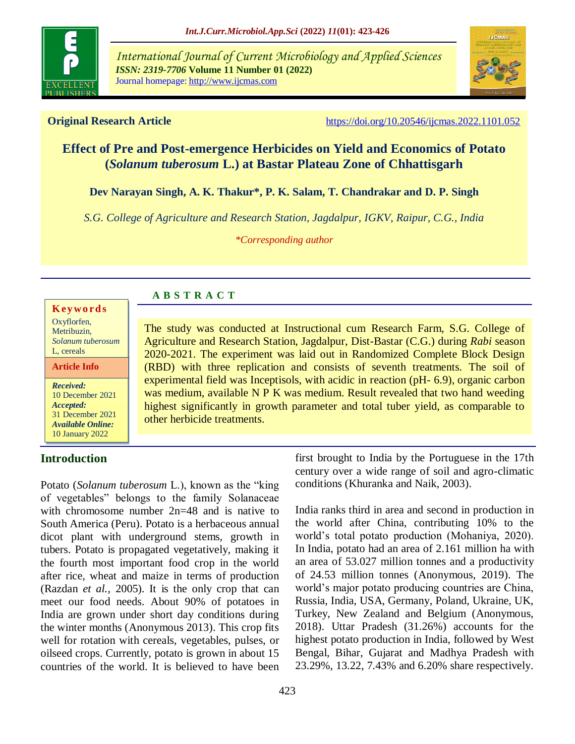

*International Journal of Current Microbiology and Applied Sciences ISSN: 2319-7706* **Volume 11 Number 01 (2022)**  Journal homepage: http://www.ijcmas.com



**Original Research Article** <https://doi.org/10.20546/ijcmas.2022.1101.052>

# **Effect of Pre and Post-emergence Herbicides on Yield and Economics of Potato (***Solanum tuberosum* **L.) at Bastar Plateau Zone of Chhattisgarh**

**Dev Narayan Singh, A. K. Thakur\*, P. K. Salam, T. Chandrakar and D. P. Singh**

*S.G. College of Agriculture and Research Station, Jagdalpur, IGKV, Raipur, C.G., India*

*\*Corresponding author*

#### **K ey w o rd s**

Oxyflorfen, Metribuzin, *Solanum tuberosum* L, cereals

#### **Article Info**

*Received:*  10 December 2021 *Accepted:*  31 December 2021 *Available Online:* 10 January 2022

## **Introduction**

Potato (*Solanum tuberosum* L.), known as the "king of vegetables" belongs to the family Solanaceae with chromosome number 2n=48 and is native to South America (Peru). Potato is a herbaceous annual dicot plant with underground stems, growth in tubers. Potato is propagated vegetatively, making it the fourth most important food crop in the world after rice, wheat and maize in terms of production (Razdan *et al.,* 2005). It is the only crop that can meet our food needs. About 90% of potatoes in India are grown under short day conditions during the winter months (Anonymous 2013). This crop fits well for rotation with cereals, vegetables, pulses, or oilseed crops. Currently, potato is grown in about 15 countries of the world. It is believed to have been

**A B S T R A C T**

The study was conducted at Instructional cum Research Farm, S.G. College of Agriculture and Research Station, Jagdalpur, Dist-Bastar (C.G.) during *Rabi* season 2020-2021. The experiment was laid out in Randomized Complete Block Design (RBD) with three replication and consists of seventh treatments. The soil of experimental field was Inceptisols, with acidic in reaction (pH- 6.9), organic carbon was medium, available N P K was medium. Result revealed that two hand weeding highest significantly in growth parameter and total tuber yield, as comparable to other herbicide treatments.

> first brought to India by the Portuguese in the 17th century over a wide range of soil and agro-climatic conditions (Khuranka and Naik, 2003).

> India ranks third in area and second in production in the world after China, contributing 10% to the world's total potato production (Mohaniya, 2020). In India, potato had an area of 2.161 million ha with an area of 53.027 million tonnes and a productivity of 24.53 million tonnes (Anonymous, 2019). The world's major potato producing countries are China, Russia, India, USA, Germany, Poland, Ukraine, UK, Turkey, New Zealand and Belgium (Anonymous, 2018). Uttar Pradesh (31.26%) accounts for the highest potato production in India, followed by West Bengal, Bihar, Gujarat and Madhya Pradesh with 23.29%, 13.22, 7.43% and 6.20% share respectively.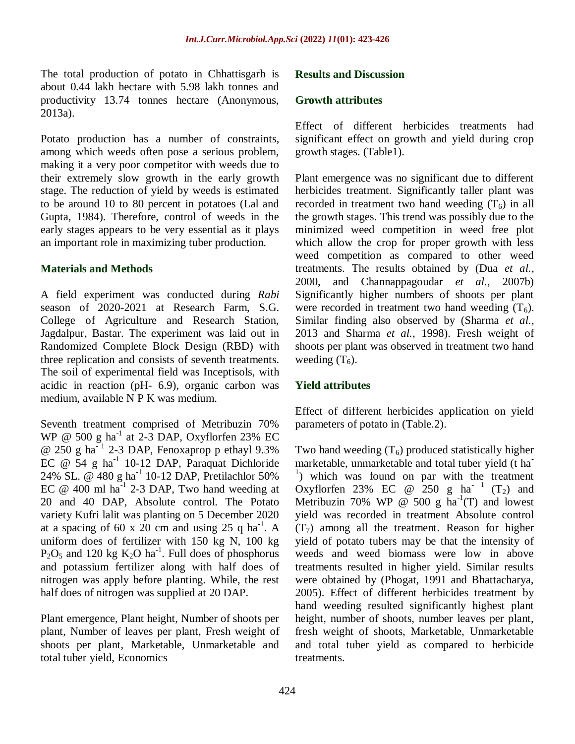The total production of potato in Chhattisgarh is about 0.44 lakh hectare with 5.98 lakh tonnes and productivity 13.74 tonnes hectare (Anonymous, 2013a).

Potato production has a number of constraints, among which weeds often pose a serious problem, making it a very poor competitor with weeds due to their extremely slow growth in the early growth stage. The reduction of yield by weeds is estimated to be around 10 to 80 percent in potatoes (Lal and Gupta, 1984). Therefore, control of weeds in the early stages appears to be very essential as it plays an important role in maximizing tuber production.

#### **Materials and Methods**

A field experiment was conducted during *Rabi*  season of 2020-2021 at Research Farm, S.G. College of Agriculture and Research Station, Jagdalpur, Bastar. The experiment was laid out in Randomized Complete Block Design (RBD) with three replication and consists of seventh treatments. The soil of experimental field was Inceptisols, with acidic in reaction (pH- 6.9), organic carbon was medium, available N P K was medium.

Seventh treatment comprised of Metribuzin 70% WP @ 500 g ha<sup>-1</sup> at 2-3 DAP, Oxyflorfen 23% EC  $@ 250 g ha^{-1} 2-3 DAP$ , Fenoxaprop p ethayl 9.3% EC  $@$  54 g ha<sup>-1</sup> 10-12 DAP, Paraquat Dichloride 24% SL. @ 480 g ha<sup>-1</sup> 10-12 DAP, Pretilachlor 50% EC  $@ 400$  ml ha<sup>-1</sup> 2-3 DAP, Two hand weeding at 20 and 40 DAP, Absolute control. The Potato variety Kufri lalit was planting on 5 December 2020 at a spacing of 60 x 20 cm and using 25 q ha<sup>-1</sup>. A uniform does of fertilizer with 150 kg N, 100 kg  $P_2O_5$  and 120 kg  $K_2O$  ha<sup>-1</sup>. Full does of phosphorus and potassium fertilizer along with half does of nitrogen was apply before planting. While, the rest half does of nitrogen was supplied at 20 DAP.

Plant emergence, Plant height, Number of shoots per plant, Number of leaves per plant, Fresh weight of shoots per plant, Marketable, Unmarketable and total tuber yield, Economics

#### **Results and Discussion**

#### **Growth attributes**

Effect of different herbicides treatments had significant effect on growth and yield during crop growth stages. (Table1).

Plant emergence was no significant due to different herbicides treatment. Significantly taller plant was recorded in treatment two hand weeding  $(T_6)$  in all the growth stages. This trend was possibly due to the minimized weed competition in weed free plot which allow the crop for proper growth with less weed competition as compared to other weed treatments. The results obtained by (Dua *et al.,* 2000, and Channappagoudar *et al.,* 2007b) Significantly higher numbers of shoots per plant were recorded in treatment two hand weeding  $(T_6)$ . Similar finding also observed by (Sharma *et al.,* 2013 and Sharma *et al.,* 1998). Fresh weight of shoots per plant was observed in treatment two hand weeding  $(T_6)$ .

#### **Yield attributes**

Effect of different herbicides application on yield parameters of potato in (Table.2).

Two hand weeding  $(T_6)$  produced statistically higher marketable, unmarketable and total tuber yield (t ha-<sup>1</sup>) which was found on par with the treatment Oxyflorfen 23% EC @ 250 g ha<sup>-1</sup> (T<sub>2</sub>) and Metribuzin 70% WP @ 500 g  $ha^{-1}(T)$  and lowest yield was recorded in treatment Absolute control  $(T<sub>7</sub>)$  among all the treatment. Reason for higher yield of potato tubers may be that the intensity of weeds and weed biomass were low in above treatments resulted in higher yield. Similar results were obtained by (Phogat, 1991 and Bhattacharya, 2005). Effect of different herbicides treatment by hand weeding resulted significantly highest plant height, number of shoots, number leaves per plant, fresh weight of shoots, Marketable, Unmarketable and total tuber yield as compared to herbicide treatments.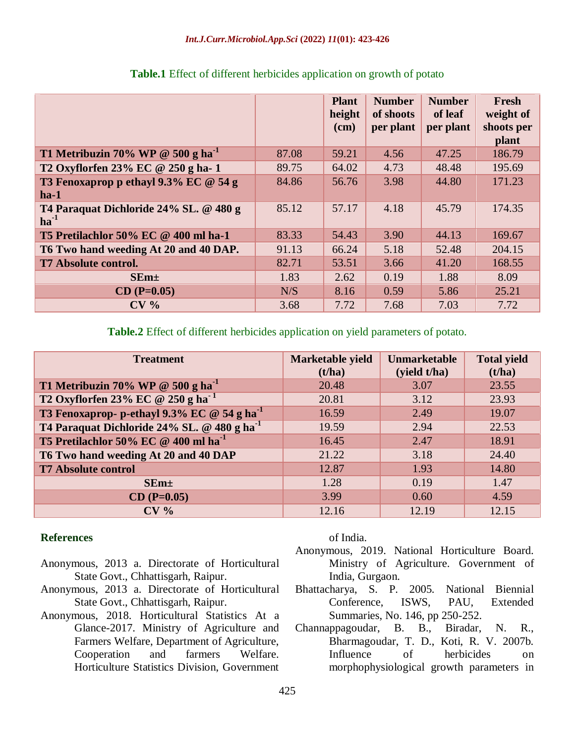|                                                     |       | <b>Plant</b><br>height<br>$(cm)$ | <b>Number</b><br>of shoots<br>per plant | <b>Number</b><br>of leaf<br>per plant | Fresh<br>weight of<br>shoots per<br>plant |
|-----------------------------------------------------|-------|----------------------------------|-----------------------------------------|---------------------------------------|-------------------------------------------|
| T1 Metribuzin 70% WP @ 500 g ha <sup>-1</sup>       | 87.08 | 59.21                            | 4.56                                    | 47.25                                 | 186.79                                    |
| T2 Oxyflorfen 23% EC @ 250 g ha-1                   | 89.75 | 64.02                            | 4.73                                    | 48.48                                 | 195.69                                    |
| T3 Fenoxaprop p ethayl 9.3% EC @ 54 g<br>$ha-1$     | 84.86 | 56.76                            | 3.98                                    | 44.80                                 | 171.23                                    |
| T4 Paraquat Dichloride 24% SL. @ 480 g<br>$ha^{-1}$ | 85.12 | 57.17                            | 4.18                                    | 45.79                                 | 174.35                                    |
| T5 Pretilachlor 50% EC @ 400 ml ha-1                | 83.33 | 54.43                            | 3.90                                    | 44.13                                 | 169.67                                    |
| T6 Two hand weeding At 20 and 40 DAP.               | 91.13 | 66.24                            | 5.18                                    | 52.48                                 | 204.15                                    |
| <b>T7 Absolute control.</b>                         | 82.71 | 53.51                            | 3.66                                    | 41.20                                 | 168.55                                    |
| $SEm+$                                              | 1.83  | 2.62                             | 0.19                                    | 1.88                                  | 8.09                                      |
| $CD (P=0.05)$                                       | N/S   | 8.16                             | 0.59                                    | 5.86                                  | 25.21                                     |
| CV <sub>0</sub>                                     | 3.68  | 7.72                             | 7.68                                    | 7.03                                  | 7.72                                      |

### **Table.1** Effect of different herbicides application on growth of potato

**Table.2** Effect of different herbicides application on yield parameters of potato.

| <b>Treatment</b>                                        | Marketable yield<br>(t/ha) | <b>Unmarketable</b><br>(yield t/ha) | <b>Total yield</b><br>(t/ha) |
|---------------------------------------------------------|----------------------------|-------------------------------------|------------------------------|
| T1 Metribuzin 70% WP @ 500 g ha <sup>-1</sup>           | 20.48                      | 3.07                                | 23.55                        |
| T2 Oxyflorfen 23% EC @ 250 g ha <sup>-1</sup>           | 20.81                      | 3.12                                | 23.93                        |
| T3 Fenoxaprop-p-ethayl 9.3% EC @ 54 g ha <sup>-1</sup>  | 16.59                      | 2.49                                | 19.07                        |
| T4 Paraquat Dichloride 24% SL. @ 480 g ha <sup>-1</sup> | 19.59                      | 2.94                                | 22.53                        |
| T5 Pretilachlor 50% EC @ 400 ml ha <sup>-1</sup>        | 16.45                      | 2.47                                | 18.91                        |
| T6 Two hand weeding At 20 and 40 DAP                    | 21.22                      | 3.18                                | 24.40                        |
| <b>T7 Absolute control</b>                              | 12.87                      | 1.93                                | 14.80                        |
| $SEm+$                                                  | 1.28                       | 0.19                                | 1.47                         |
| $CD (P=0.05)$                                           | 3.99                       | 0.60                                | 4.59                         |
| CV <sub>0</sub>                                         | 12.16                      | 12.19                               | 12.15                        |

## **References**

- Anonymous, 2013 a. Directorate of Horticultural State Govt., Chhattisgarh, Raipur.
- Anonymous, 2013 a. Directorate of Horticultural State Govt., Chhattisgarh, Raipur.
- Anonymous, 2018. Horticultural Statistics At a Glance-2017. Ministry of Agriculture and Farmers Welfare, Department of Agriculture, Cooperation and farmers Welfare. Horticulture Statistics Division, Government

of India.

- Anonymous, 2019. National Horticulture Board. Ministry of Agriculture. Government of India, Gurgaon.
- Bhattacharya, S. P. 2005. National Biennial Conference, ISWS, PAU, Extended Summaries, No. 146, pp 250-252.
- Channappagoudar, B. B., Biradar, N. R., Bharmagoudar, T. D., Koti, R. V. 2007b. Influence of herbicides on morphophysiological growth parameters in